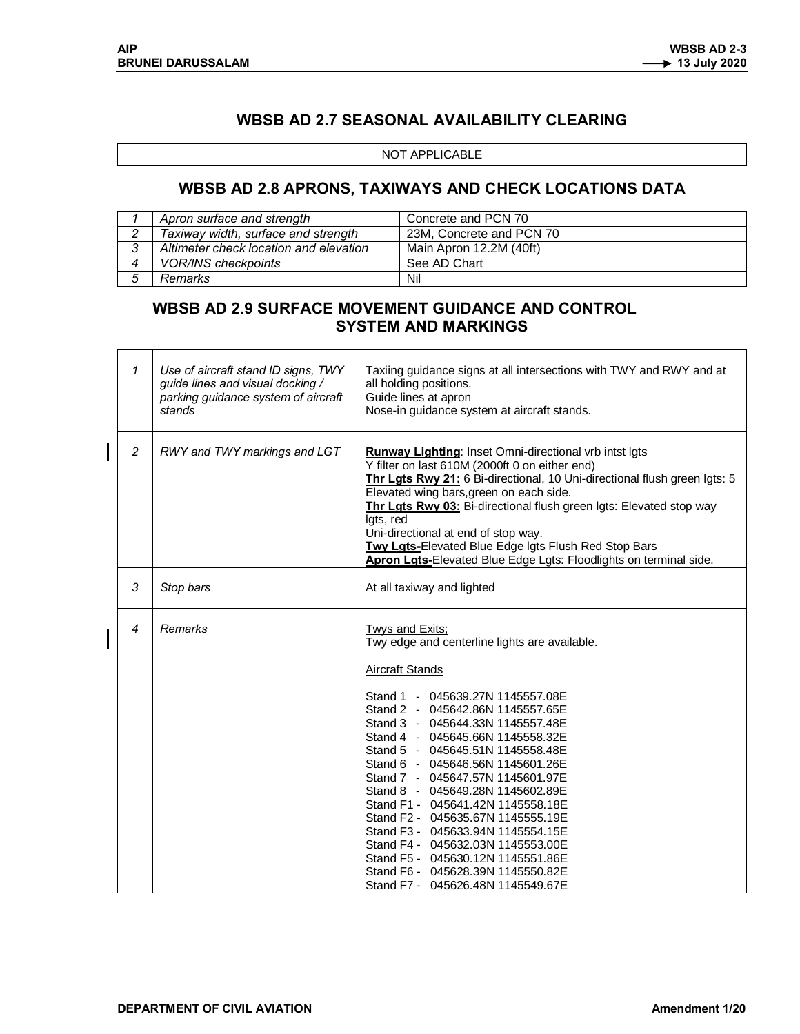# **WBSB AD 2.7 SEASONAL AVAILABILITY CLEARING**

#### NOT APPLICABLE

## **WBSB AD 2.8 APRONS, TAXIWAYS AND CHECK LOCATIONS DATA**

| Apron surface and strength             | Concrete and PCN 70      |
|----------------------------------------|--------------------------|
| Taxiway width, surface and strength    | 23M. Concrete and PCN 70 |
| Altimeter check location and elevation | Main Apron 12.2M (40ft)  |
| <b>VOR/INS checkpoints</b>             | See AD Chart             |
| Remarks                                | Nil                      |

### **WBSB AD 2.9 SURFACE MOVEMENT GUIDANCE AND CONTROL SYSTEM AND MARKINGS**

| 1              | Use of aircraft stand ID signs, TWY<br>guide lines and visual docking /<br>parking guidance system of aircraft<br>stands | Taxiing guidance signs at all intersections with TWY and RWY and at<br>all holding positions.<br>Guide lines at apron<br>Nose-in guidance system at aircraft stands.                                                                                                                                                                                                                                                                                                                                                                                                                                                                                                 |  |  |  |  |  |
|----------------|--------------------------------------------------------------------------------------------------------------------------|----------------------------------------------------------------------------------------------------------------------------------------------------------------------------------------------------------------------------------------------------------------------------------------------------------------------------------------------------------------------------------------------------------------------------------------------------------------------------------------------------------------------------------------------------------------------------------------------------------------------------------------------------------------------|--|--|--|--|--|
| 2              | RWY and TWY markings and LGT                                                                                             | Runway Lighting: Inset Omni-directional vrb intst Igts<br>Y filter on last 610M (2000ft 0 on either end)<br>Thr Lgts Rwy 21: 6 Bi-directional, 10 Uni-directional flush green Igts: 5<br>Elevated wing bars, green on each side.<br>Thr Lgts Rwy 03: Bi-directional flush green Igts: Elevated stop way<br>Igts, red<br>Uni-directional at end of stop way.<br>Twy Lgts-Elevated Blue Edge Igts Flush Red Stop Bars<br>Apron Lgts-Elevated Blue Edge Lgts: Floodlights on terminal side.                                                                                                                                                                             |  |  |  |  |  |
| 3              | Stop bars                                                                                                                | At all taxiway and lighted                                                                                                                                                                                                                                                                                                                                                                                                                                                                                                                                                                                                                                           |  |  |  |  |  |
| $\overline{4}$ | Remarks                                                                                                                  | <b>Twys and Exits;</b><br>Twy edge and centerline lights are available.<br><b>Aircraft Stands</b><br>Stand 1 - 045639.27N 1145557.08E<br>Stand 2 - 045642.86N 1145557.65E<br>Stand 3 - 045644.33N 1145557.48E<br>Stand 4 - 045645.66N 1145558.32E<br>Stand 5 - 045645.51N 1145558.48E<br>Stand 6 - 045646.56N 1145601.26E<br>Stand 7 - 045647.57N 1145601.97E<br>Stand 8 - 045649.28N 1145602.89E<br>Stand F1 - 045641.42N 1145558.18E<br>Stand F2 - 045635.67N 1145555.19E<br>Stand F3 - 045633.94N 1145554.15E<br>Stand F4 - 045632.03N 1145553.00E<br>Stand F5 - 045630.12N 1145551.86E<br>Stand F6 - 045628.39N 1145550.82E<br>Stand F7 - 045626.48N 1145549.67E |  |  |  |  |  |